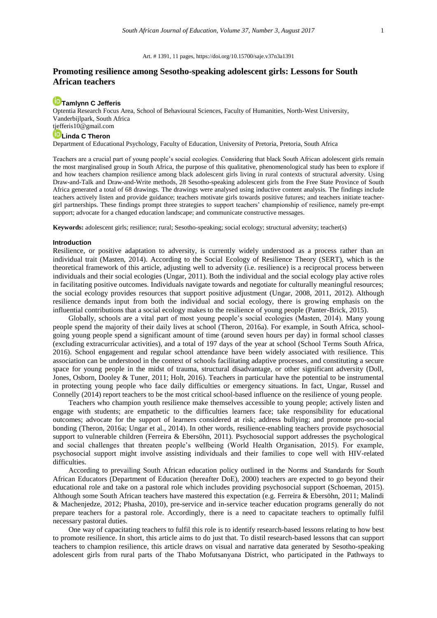#### Art. # 1391, 11 pages[, https://doi.org/10.15700/saje.v37n3a1391](https://doi.org/10.15700/saje.v37n3a1391)

# **Promoting resilience among Sesotho-speaking adolescent girls: Lessons for South African teachers**

# **[Tamlynn C Jefferis](http://orcid.org/0000-0001-8696-8191)**

Optentia Research Focus Area, School of Behavioural Sciences, Faculty of Humanities, North-West University, Vanderbijlpark, South Africa tjefferis10@gmail.com

# **[Linda C Theron](http://orcid.org/0000-0002-3979-5782)**

Department of Educational Psychology, Faculty of Education, University of Pretoria, Pretoria, South Africa

Teachers are a crucial part of young people's social ecologies. Considering that black South African adolescent girls remain the most marginalised group in South Africa, the purpose of this qualitative, phenomenological study has been to explore if and how teachers champion resilience among black adolescent girls living in rural contexts of structural adversity. Using Draw-and-Talk and Draw-and-Write methods, 28 Sesotho-speaking adolescent girls from the Free State Province of South Africa generated a total of 68 drawings. The drawings were analysed using inductive content analysis. The findings include teachers actively listen and provide guidance; teachers motivate girls towards positive futures; and teachers initiate teachergirl partnerships. These findings prompt three strategies to support teachers' championship of resilience, namely pre-empt support; advocate for a changed education landscape; and communicate constructive messages.

**Keywords:** adolescent girls; resilience; rural; Sesotho-speaking; social ecology; structural adversity; teacher(s)

#### **Introduction**

Resilience, or positive adaptation to adversity, is currently widely understood as a process rather than an individual trait (Masten, 2014). According to the Social Ecology of Resilience Theory (SERT), which is the theoretical framework of this article, adjusting well to adversity (i.e. resilience) is a reciprocal process between individuals and their social ecologies (Ungar, 2011). Both the individual and the social ecology play active roles in facilitating positive outcomes. Individuals navigate towards and negotiate for culturally meaningful resources; the social ecology provides resources that support positive adjustment (Ungar, 2008, 2011, 2012). Although resilience demands input from both the individual and social ecology, there is growing emphasis on the influential contributions that a social ecology makes to the resilience of young people (Panter-Brick, 2015).

Globally, schools are a vital part of most young people's social ecologies (Masten, 2014). Many young people spend the majority of their daily lives at school (Theron, 2016a). For example, in South Africa, schoolgoing young people spend a significant amount of time (around seven hours per day) in formal school classes (excluding extracurricular activities), and a total of 197 days of the year at school (School Terms South Africa, 2016). School engagement and regular school attendance have been widely associated with resilience. This association can be understood in the context of schools facilitating adaptive processes, and constituting a secure space for young people in the midst of trauma, structural disadvantage, or other significant adversity (Doll, Jones, Osborn, Dooley & Tuner, 2011; Holt, 2016). Teachers in particular have the potential to be instrumental in protecting young people who face daily difficulties or emergency situations. In fact, Ungar, Russel and Connelly (2014) report teachers to be the most critical school-based influence on the resilience of young people.

Teachers who champion youth resilience make themselves accessible to young people; actively listen and engage with students; are empathetic to the difficulties learners face; take responsibility for educational outcomes; advocate for the support of learners considered at risk; address bullying; and promote pro-social bonding (Theron, 2016a; Ungar et al., 2014). In other words, resilience-enabling teachers provide psychosocial support to vulnerable children (Ferreira & Ebersöhn, 2011). Psychosocial support addresses the psychological and social challenges that threaten people's wellbeing (World Health Organisation, 2015). For example, psychosocial support might involve assisting individuals and their families to cope well with HIV-related difficulties.

According to prevailing South African education policy outlined in the Norms and Standards for South African Educators (Department of Education (hereafter DoE), 2000) teachers are expected to go beyond their educational role and take on a pastoral role which includes providing psychosocial support (Schoeman, 2015). Although some South African teachers have mastered this expectation (e.g. Ferreira & Ebersöhn, 2011; Malindi & Machenjedze, 2012; Phasha, 2010), pre-service and in-service teacher education programs generally do not prepare teachers for a pastoral role. Accordingly, there is a need to capacitate teachers to optimally fulfil necessary pastoral duties.

One way of capacitating teachers to fulfil this role is to identify research-based lessons relating to how best to promote resilience. In short, this article aims to do just that. To distil research-based lessons that can support teachers to champion resilience, this article draws on visual and narrative data generated by Sesotho-speaking adolescent girls from rural parts of the Thabo Mofutsanyana District, who participated in the Pathways to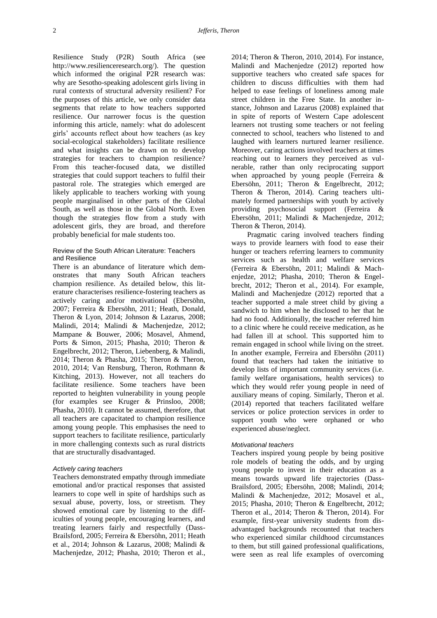Resilience Study (P2R) South Africa (see [http://www.resilienceresearch.org/\)](http://www.resilienceresearch.org/). The question which informed the original P2R research was: why are Sesotho-speaking adolescent girls living in rural contexts of structural adversity resilient? For the purposes of this article, we only consider data segments that relate to how teachers supported resilience. Our narrower focus is the question informing this article, namely: what do adolescent girls' accounts reflect about how teachers (as key social-ecological stakeholders) facilitate resilience and what insights can be drawn on to develop strategies for teachers to champion resilience? From this teacher-focused data, we distilled strategies that could support teachers to fulfil their pastoral role. The strategies which emerged are likely applicable to teachers working with young people marginalised in other parts of the Global South, as well as those in the Global North. Even though the strategies flow from a study with adolescent girls, they are broad, and therefore probably beneficial for male students too.

## Review of the South African Literature: Teachers and Resilience

There is an abundance of literature which demonstrates that many South African teachers champion resilience. As detailed below, this literature characterises resilience-fostering teachers as actively caring and/or motivational (Ebersöhn, 2007; Ferreira & Ebersöhn, 2011; Heath, Donald, Theron & Lyon, 2014; Johnson & Lazarus, 2008; Malindi, 2014; Malindi & Machenjedze, 2012; Mampane & Bouwer, 2006; Mosavel, Ahmend, Ports & Simon, 2015; Phasha, 2010; Theron & Engelbrecht, 2012; Theron, Liebenberg, & Malindi, 2014; Theron & Phasha, 2015; Theron & Theron, 2010, 2014; Van Rensburg, Theron, Rothmann & Kitching, 2013). However, not all teachers do facilitate resilience. Some teachers have been reported to heighten vulnerability in young people (for examples see Kruger & Prinsloo, 2008; Phasha, 2010). It cannot be assumed, therefore, that all teachers are capacitated to champion resilience among young people. This emphasises the need to support teachers to facilitate resilience, particularly in more challenging contexts such as rural districts that are structurally disadvantaged.

## *Actively caring teachers*

Teachers demonstrated empathy through immediate emotional and/or practical responses that assisted learners to cope well in spite of hardships such as sexual abuse, poverty, loss, or streetism. They showed emotional care by listening to the difficulties of young people, encouraging learners, and treating learners fairly and respectfully (Dass-Brailsford, 2005; Ferreira & Ebersöhn, 2011; Heath et al., 2014; Johnson & Lazarus, 2008; Malindi & Machenjedze, 2012; Phasha, 2010; Theron et al.,

2014; Theron & Theron, 2010, 2014). For instance, Malindi and Machenjedze (2012) reported how supportive teachers who created safe spaces for children to discuss difficulties with them had helped to ease feelings of loneliness among male street children in the Free State. In another instance, Johnson and Lazarus (2008) explained that in spite of reports of Western Cape adolescent learners not trusting some teachers or not feeling connected to school, teachers who listened to and laughed with learners nurtured learner resilience. Moreover, caring actions involved teachers at times reaching out to learners they perceived as vulnerable, rather than only reciprocating support when approached by young people (Ferreira & Ebersöhn, 2011; Theron & Engelbrecht, 2012; Theron & Theron, 2014). Caring teachers ultimately formed partnerships with youth by actively providing psychosocial support (Ferreira & Ebersöhn, 2011; Malindi & Machenjedze, 2012; Theron & Theron, 2014).

Pragmatic caring involved teachers finding ways to provide learners with food to ease their hunger or teachers referring learners to community services such as health and welfare services (Ferreira & Ebersöhn, 2011; Malindi & Machenjedze, 2012; Phasha, 2010; Theron & Engelbrecht, 2012; Theron et al., 2014). For example, Malindi and Machenjedze (2012) reported that a teacher supported a male street child by giving a sandwich to him when he disclosed to her that he had no food. Additionally, the teacher referred him to a clinic where he could receive medication, as he had fallen ill at school. This supported him to remain engaged in school while living on the street. In another example, Ferreira and Ebersöhn (2011) found that teachers had taken the initiative to develop lists of important community services (i.e. family welfare organisations, health services) to which they would refer young people in need of auxiliary means of coping. Similarly, Theron et al. (2014) reported that teachers facilitated welfare services or police protection services in order to support youth who were orphaned or who experienced abuse/neglect.

## *Motivational teachers*

Teachers inspired young people by being positive role models of beating the odds, and by urging young people to invest in their education as a means towards upward life trajectories (Dass-Brailsford, 2005; Ebersöhn, 2008; Malindi, 2014; Malindi & Machenjedze, 2012; Mosavel et al., 2015; Phasha, 2010; Theron & Engelbrecht, 2012; Theron et al., 2014; Theron & Theron, 2014). For example, first-year university students from disadvantaged backgrounds recounted that teachers who experienced similar childhood circumstances to them, but still gained professional qualifications, were seen as real life examples of overcoming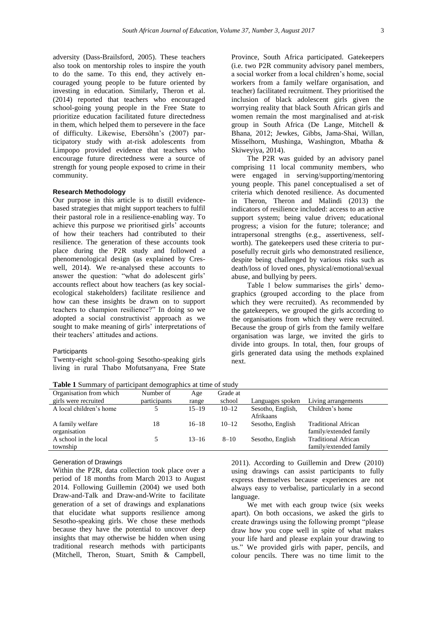adversity (Dass-Brailsford, 2005). These teachers also took on mentorship roles to inspire the youth to do the same. To this end, they actively encouraged young people to be future oriented by investing in education. Similarly, Theron et al. (2014) reported that teachers who encouraged school-going young people in the Free State to prioritize education facilitated future directedness in them, which helped them to persevere in the face of difficulty. Likewise, Ebersöhn's (2007) participatory study with at-risk adolescents from Limpopo provided evidence that teachers who encourage future directedness were a source of strength for young people exposed to crime in their community.

## **Research Methodology**

Our purpose in this article is to distill evidencebased strategies that might support teachers to fulfil their pastoral role in a resilience-enabling way. To achieve this purpose we prioritised girls' accounts of how their teachers had contributed to their resilience. The generation of these accounts took place during the P2R study and followed a phenomenological design (as explained by Creswell, 2014). We re-analysed these accounts to answer the question: "what do adolescent girls' accounts reflect about how teachers (as key socialecological stakeholders) facilitate resilience and how can these insights be drawn on to support teachers to champion resilience?" In doing so we adopted a social constructivist approach as we sought to make meaning of girls' interpretations of their teachers' attitudes and actions.

## **Participants**

organisation

township

Twenty-eight school-going Sesotho-speaking girls living in rural Thabo Mofutsanyana, Free State Province, South Africa participated. Gatekeepers (i.e. two P2R community advisory panel members, a social worker from a local children's home, social workers from a family welfare organisation, and teacher) facilitated recruitment. They prioritised the inclusion of black adolescent girls given the worrying reality that black South African girls and women remain the most marginalised and at-risk group in South Africa (De Lange, Mitchell & Bhana, 2012; Jewkes, Gibbs, Jama-Shai, Willan, Misselhorn, Mushinga, Washington, Mbatha & Skiweyiya, 2014).

The P2R was guided by an advisory panel comprising 11 local community members, who were engaged in serving/supporting/mentoring young people. This panel conceptualised a set of criteria which denoted resilience. As documented in Theron, Theron and Malindi (2013) the indicators of resilience included: access to an active support system; being value driven; educational progress; a vision for the future; tolerance; and intrapersonal strengths (e.g., assertiveness, selfworth). The gatekeepers used these criteria to purposefully recruit girls who demonstrated resilience, despite being challenged by various risks such as death/loss of loved ones, physical/emotional/sexual abuse, and bullying by peers.

Table 1 below summarises the girls' demographics (grouped according to the place from which they were recruited). As recommended by the gatekeepers, we grouped the girls according to the organisations from which they were recruited. Because the group of girls from the family welfare organisation was large, we invited the girls to divide into groups. In total, then, four groups of girls generated data using the methods explained next.

| <b>Table 1</b> Summary of participant demographics at time of study |              |           |           |                                |                                      |
|---------------------------------------------------------------------|--------------|-----------|-----------|--------------------------------|--------------------------------------|
| Organisation from which                                             | Number of    | Age       | Grade at  |                                |                                      |
| girls were recruited                                                | participants | range     | school    |                                | Languages spoken Living arrangements |
| A local children's home                                             |              | $15 - 19$ | $10 - 12$ | Sesotho, English,<br>Afrikaans | Children's home                      |
| A family welfare                                                    |              | 16–18     | $10 - 12$ | Sesotho, English               | <b>Traditional African</b>           |

#### Generation of Drawings

A school in the local

Within the P2R, data collection took place over a period of 18 months from March 2013 to August 2014. Following Guillemin (2004) we used both Draw-and-Talk and Draw-and-Write to facilitate generation of a set of drawings and explanations that elucidate what supports resilience among Sesotho-speaking girls. We chose these methods because they have the potential to uncover deep insights that may otherwise be hidden when using traditional research methods with participants (Mitchell, Theron, Stuart, Smith & Campbell,

2011). According to Guillemin and Drew (2010) using drawings can assist participants to fully express themselves because experiences are not always easy to verbalise, particularly in a second language.

5 13–16 8–10 Sesotho, English Traditional African

family/extended family

family/extended family

We met with each group twice (six weeks apart). On both occasions, we asked the girls to create drawings using the following prompt "please draw how you cope well in spite of what makes your life hard and please explain your drawing to us." We provided girls with paper, pencils, and colour pencils. There was no time limit to the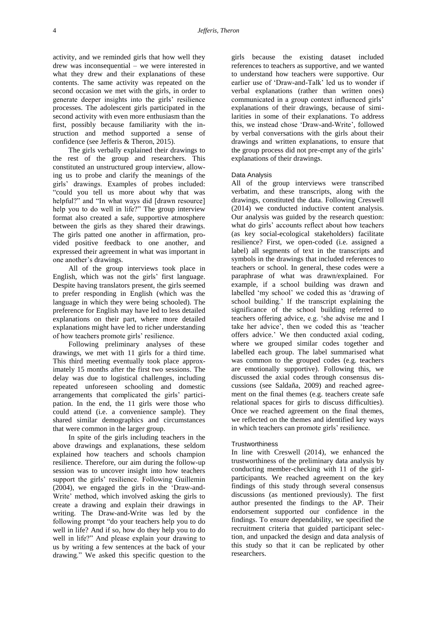activity, and we reminded girls that how well they drew was inconsequential – we were interested in what they drew and their explanations of these contents. The same activity was repeated on the second occasion we met with the girls, in order to generate deeper insights into the girls' resilience processes. The adolescent girls participated in the second activity with even more enthusiasm than the first, possibly because familiarity with the instruction and method supported a sense of confidence (see Jefferis & Theron, 2015).

The girls verbally explained their drawings to the rest of the group and researchers. This constituted an unstructured group interview, allowing us to probe and clarify the meanings of the girls' drawings. Examples of probes included: "could you tell us more about why that was helpful?" and "In what ways did [drawn resource] help you to do well in life?" The group interview format also created a safe, supportive atmosphere between the girls as they shared their drawings. The girls patted one another in affirmation, provided positive feedback to one another, and expressed their agreement in what was important in one another's drawings.

All of the group interviews took place in English, which was not the girls' first language. Despite having translators present, the girls seemed to prefer responding in English (which was the language in which they were being schooled). The preference for English may have led to less detailed explanations on their part, where more detailed explanations might have led to richer understanding of how teachers promote girls' resilience.

Following preliminary analyses of these drawings, we met with 11 girls for a third time. This third meeting eventually took place approximately 15 months after the first two sessions. The delay was due to logistical challenges, including repeated unforeseen schooling and domestic arrangements that complicated the girls' participation. In the end, the 11 girls were those who could attend (i.e. a convenience sample). They shared similar demographics and circumstances that were common in the larger group.

In spite of the girls including teachers in the above drawings and explanations, these seldom explained how teachers and schools champion resilience. Therefore, our aim during the follow-up session was to uncover insight into how teachers support the girls' resilience. Following Guillemin (2004), we engaged the girls in the 'Draw-and-Write' method, which involved asking the girls to create a drawing and explain their drawings in writing. The Draw-and-Write was led by the following prompt "do your teachers help you to do well in life? And if so, how do they help you to do well in life?" And please explain your drawing to us by writing a few sentences at the back of your drawing." We asked this specific question to the

girls because the existing dataset included references to teachers as supportive, and we wanted to understand how teachers were supportive. Our earlier use of 'Draw-and-Talk' led us to wonder if verbal explanations (rather than written ones) communicated in a group context influenced girls' explanations of their drawings, because of similarities in some of their explanations. To address this, we instead chose 'Draw-and-Write', followed by verbal conversations with the girls about their drawings and written explanations, to ensure that the group process did not pre-empt any of the girls' explanations of their drawings.

#### Data Analysis

All of the group interviews were transcribed verbatim, and these transcripts, along with the drawings, constituted the data. Following Creswell (2014) we conducted inductive content analysis. Our analysis was guided by the research question: what do girls' accounts reflect about how teachers (as key social-ecological stakeholders) facilitate resilience? First, we open-coded (i.e. assigned a label) all segments of text in the transcripts and symbols in the drawings that included references to teachers or school. In general, these codes were a paraphrase of what was drawn/explained. For example, if a school building was drawn and labelled 'my school' we coded this as 'drawing of school building.' If the transcript explaining the significance of the school building referred to teachers offering advice, e.g. 'she advise me and I take her advice', then we coded this as 'teacher offers advice.' We then conducted axial coding, where we grouped similar codes together and labelled each group. The label summarised what was common to the grouped codes (e.g. teachers are emotionally supportive). Following this, we discussed the axial codes through consensus discussions (see Saldaña, 2009) and reached agreement on the final themes (e.g. teachers create safe relational spaces for girls to discuss difficulties). Once we reached agreement on the final themes, we reflected on the themes and identified key ways in which teachers can promote girls' resilience.

#### **Trustworthiness**

In line with Creswell (2014), we enhanced the trustworthiness of the preliminary data analysis by conducting member-checking with 11 of the girlparticipants. We reached agreement on the key findings of this study through several consensus discussions (as mentioned previously). The first author presented the findings to the AP. Their endorsement supported our confidence in the findings. To ensure dependability, we specified the recruitment criteria that guided participant selection, and unpacked the design and data analysis of this study so that it can be replicated by other researchers.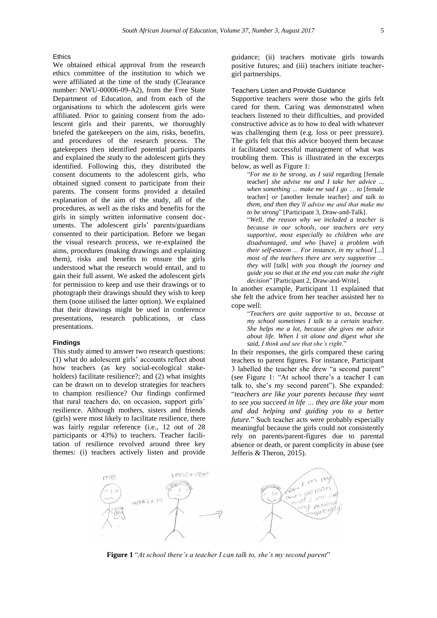## **Ethics**

We obtained ethical approval from the research ethics committee of the institution to which we were affiliated at the time of the study (Clearance number: NWU-00006-09-A2), from the Free State Department of Education, and from each of the organisations to which the adolescent girls were affiliated. Prior to gaining consent from the adolescent girls and their parents, we thoroughly briefed the gatekeepers on the aim, risks, benefits, and procedures of the research process. The gatekeepers then identified potential participants and explained the study to the adolescent girls they identified. Following this, they distributed the consent documents to the adolescent girls, who obtained signed consent to participate from their parents. The consent forms provided a detailed explanation of the aim of the study, all of the procedures, as well as the risks and benefits for the girls in simply written informative consent documents. The adolescent girls' parents/guardians consented to their participation. Before we began the visual research process, we re-explained the aims, procedures (making drawings and explaining them), risks and benefits to ensure the girls understood what the research would entail, and to gain their full assent. We asked the adolescent girls for permission to keep and use their drawings or to photograph their drawings should they wish to keep them (none utilised the latter option). We explained that their drawings might be used in conference presentations, research publications, or class presentations.

## **Findings**

This study aimed to answer two research questions: (1) what do adolescent girls' accounts reflect about how teachers (as key social-ecological stakeholders) facilitate resilience?; and (2) what insights can be drawn on to develop strategies for teachers to champion resilience? Our findings confirmed that rural teachers do, on occasion, support girls' resilience. Although mothers, sisters and friends (girls) were most likely to facilitate resilience, there was fairly regular reference (i.e., 12 out of 28 participants or 43%) to teachers. Teacher facilitation of resilience revolved around three key themes: (i) teachers actively listen and provide

guidance; (ii) teachers motivate girls towards positive futures; and (iii) teachers initiate teachergirl partnerships.

## Teachers Listen and Provide Guidance

Supportive teachers were those who the girls felt cared for them. Caring was demonstrated when teachers listened to their difficulties, and provided constructive advice as to how to deal with whatever was challenging them (e.g. loss or peer pressure). The girls felt that this advice buoyed them because it facilitated successful management of what was troubling them. This is illustrated in the excerpts below, as well as Figure 1:

"*For me to be strong, as I said* regarding [female teacher] *she advise me and I take her advice ... when something … make me sad I go … to* [female teacher] *or* [another female teacher] *and talk to them, and then they'll advise me and that make me to be strong*" [Participant 3, Draw-and-Talk].

"*Well, the reason why we included a teacher is because in our schools, our teachers are very supportive, most especially to children who are disadvantaged, and who* [have] *a problem with their self-esteem … For instance, in my school* [...] *most of the teachers there are very supportive … they will* [talk] *with you though the journey and guide you so that at the end you can make the right decision*" [Participant 2, Draw-and-Write].

In another example, Participant 11 explained that she felt the advice from her teacher assisted her to cope well:

"*Teachers are quite supportive to us, because at my school sometimes I talk to a certain teacher. She helps me a lot, because she gives me advice about life. When I sit alone and digest what she said, I think and see that she's right.*"

In their responses, the girls compared these caring teachers to parent figures. For instance, Participant 3 labelled the teacher she drew "a second parent" (see Figure 1: "At school there's a teacher I can talk to, she's my second parent"). She expanded: "*teachers are like your parents because they want to see you succeed in life … they are like your mom and dad helping and guiding you to a better future.*" Such teacher acts were probably especially meaningful because the girls could not consistently rely on parents/parent-figures due to parental absence or death, or parent complicity in abuse (see Jefferis & Theron, 2015).



**Figure 1** "*At school there's a teacher I can talk to, she's my second parent*"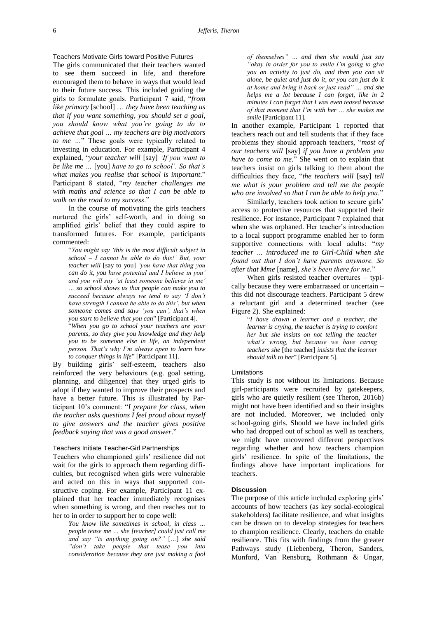# Teachers Motivate Girls toward Positive Futures

The girls communicated that their teachers wanted to see them succeed in life, and therefore encouraged them to behave in ways that would lead to their future success. This included guiding the girls to formulate goals. Participant 7 said, "*from like primary* [school] … *they have been teaching us that if you want something, you should set a goal, you should know what you're going to do to achieve that goal … my teachers are big motivators to me …*" These goals were typically related to investing in education. For example, Participant 4 explained, "*your teacher will* [say] *'If you want to be like me …* [you] *have to go to school'. So that's what makes you realise that school is important*." Participant 8 stated, "*my teacher challenges me with maths and science so that I can be able to walk on the road to my success*."

In the course of motivating the girls teachers nurtured the girls' self-worth, and in doing so amplified girls' belief that they could aspire to transformed futures. For example, participants commented:

> "*You might say 'this is the most difficult subject in school – I cannot be able to do this!' But, your teacher will* [say to you] *'you have that thing you can do it, you have potential and I believe in you' and you will say 'at least someone believes in me' … so school shows us that people can make you to succeed because always we tend to say 'I don't have strength I cannot be able to do this', but when someone comes and says 'you can', that's when you start to believe that you can*" [Participant 4].

> "*When you go to school your teachers are your parents, so they give you knowledge and they help you to be someone else in life, an independent person. That's why I'm always open to learn how to conquer things in life*" [Participant 11].

By building girls' self-esteem, teachers also reinforced the very behaviours (e.g. goal setting, planning, and diligence) that they urged girls to adopt if they wanted to improve their prospects and have a better future. This is illustrated by Participant 10's comment: "*I prepare for class, when the teacher asks questions I feel proud about myself to give answers and the teacher gives positive feedback saying that was a good answer.*"

#### Teachers Initiate Teacher-Girl Partnerships

Teachers who championed girls' resilience did not wait for the girls to approach them regarding difficulties, but recognised when girls were vulnerable and acted on this in ways that supported constructive coping. For example, Participant 11 explained that her teacher immediately recognises when something is wrong, and then reaches out to her to in order to support her to cope well:

> *You know like sometimes in school, in class … people tease me … she [teacher] could just call me and say "is anything going on?"* [*…*] *she said "don't take people that tease you into consideration because they are just making a fool*

*of themselves" … and then she would just say "okay in order for you to smile I'm going to give you an activity to just do, and then you can sit alone, be quiet and just do it, or you can just do it at home and bring it back or just read" … and she helps me a lot because I can forget, like in 2 minutes I can forget that I was even teased because of that moment that I'm with her … she makes me smile* [Participant 11].

In another example, Participant 1 reported that teachers reach out and tell students that if they face problems they should approach teachers, "*most of our teachers will* [say] *if you have a problem you have to come to me.*" She went on to explain that teachers insist on girls talking to them about the difficulties they face, "*the teachers will* [say] *tell me what is your problem and tell me the people who are involved so that I can be able to help you.*"

Similarly, teachers took action to secure girls' access to protective resources that supported their resilience. For instance, Participant 7 explained that when she was orphaned. Her teacher's introduction to a local support programme enabled her to form supportive connections with local adults: "*my teacher … introduced me to Girl-Child when she found out that I don't have parents anymore. So after that Mme* [name], *she's been there for me*."

When girls resisted teacher overtures – typically because they were embarrassed or uncertain – this did not discourage teachers. Participant 5 drew a reluctant girl and a determined teacher (see Figure 2). She explained:

"*I have drawn a learner and a teacher, the learner is crying, the teacher is trying to comfort her but she insists on not telling the teacher what's wrong, but because we have caring teachers she* [the teacher] *insists that the learner should talk to her*" [Participant 5].

#### Limitations

This study is not without its limitations. Because girl-participants were recruited by gatekeepers, girls who are quietly resilient (see Theron, 2016b) might not have been identified and so their insights are not included. Moreover, we included only school-going girls. Should we have included girls who had dropped out of school as well as teachers, we might have uncovered different perspectives regarding whether and how teachers champion girls' resilience. In spite of the limitations, the findings above have important implications for teachers.

#### **Discussion**

The purpose of this article included exploring girls' accounts of how teachers (as key social-ecological stakeholders) facilitate resilience, and what insights can be drawn on to develop strategies for teachers to champion resilience. Clearly, teachers do enable resilience. This fits with findings from the greater Pathways study (Liebenberg, Theron, Sanders, Munford, Van Rensburg, Rothmann & Ungar,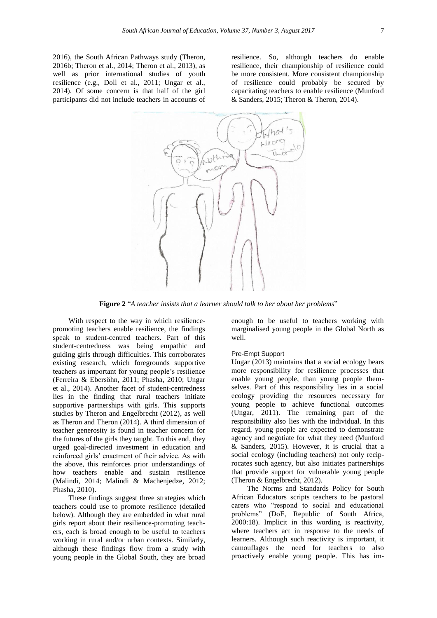2016), the South African Pathways study (Theron, 2016b; Theron et al., 2014; Theron et al., 2013), as well as prior international studies of youth resilience (e.g., Doll et al., 2011; Ungar et al., 2014). Of some concern is that half of the girl participants did not include teachers in accounts of

resilience. So, although teachers do enable resilience, their championship of resilience could be more consistent. More consistent championship of resilience could probably be secured by capacitating teachers to enable resilience (Munford & Sanders, 2015; Theron & Theron, 2014).



**Figure 2** "*A teacher insists that a learner should talk to her about her problems*"

With respect to the way in which resiliencepromoting teachers enable resilience, the findings speak to student-centred teachers. Part of this student-centredness was being empathic and guiding girls through difficulties. This corroborates existing research, which foregrounds supportive teachers as important for young people's resilience (Ferreira & Ebersöhn, 2011; Phasha, 2010; Ungar et al., 2014). Another facet of student-centredness lies in the finding that rural teachers initiate supportive partnerships with girls. This supports studies by Theron and Engelbrecht (2012), as well as Theron and Theron (2014). A third dimension of teacher generosity is found in teacher concern for the futures of the girls they taught. To this end, they urged goal-directed investment in education and reinforced girls' enactment of their advice. As with the above, this reinforces prior understandings of how teachers enable and sustain resilience (Malindi, 2014; Malindi & Machenjedze, 2012; Phasha, 2010).

These findings suggest three strategies which teachers could use to promote resilience (detailed below). Although they are embedded in what rural girls report about their resilience-promoting teachers, each is broad enough to be useful to teachers working in rural and/or urban contexts. Similarly, although these findings flow from a study with young people in the Global South, they are broad

enough to be useful to teachers working with marginalised young people in the Global North as well.

### Pre-Empt Support

Ungar (2013) maintains that a social ecology bears more responsibility for resilience processes that enable young people, than young people themselves. Part of this responsibility lies in a social ecology providing the resources necessary for young people to achieve functional outcomes (Ungar, 2011). The remaining part of the responsibility also lies with the individual. In this regard, young people are expected to demonstrate agency and negotiate for what they need (Munford & Sanders, 2015). However, it is crucial that a social ecology (including teachers) not only reciprocates such agency, but also initiates partnerships that provide support for vulnerable young people (Theron & Engelbrecht, 2012).

The Norms and Standards Policy for South African Educators scripts teachers to be pastoral carers who "respond to social and educational problems" (DoE, Republic of South Africa, 2000:18). Implicit in this wording is reactivity, where teachers act in response to the needs of learners. Although such reactivity is important, it camouflages the need for teachers to also proactively enable young people. This has im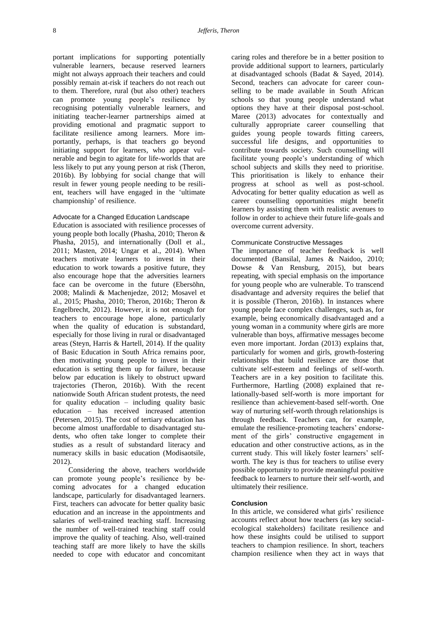portant implications for supporting potentially vulnerable learners, because reserved learners might not always approach their teachers and could possibly remain at-risk if teachers do not reach out to them. Therefore, rural (but also other) teachers can promote young people's resilience by recognising potentially vulnerable learners, and initiating teacher-learner partnerships aimed at providing emotional and pragmatic support to facilitate resilience among learners. More importantly, perhaps, is that teachers go beyond initiating support for learners, who appear vulnerable and begin to agitate for life-worlds that are less likely to put any young person at risk (Theron, 2016b). By lobbying for social change that will result in fewer young people needing to be resilient, teachers will have engaged in the 'ultimate championship' of resilience.

# Advocate for a Changed Education Landscape

Education is associated with resilience processes of young people both locally (Phasha, 2010; Theron & Phasha, 2015), and internationally (Doll et al., 2011; Masten, 2014; Ungar et al., 2014). When teachers motivate learners to invest in their education to work towards a positive future, they also encourage hope that the adversities learners face can be overcome in the future (Ebersöhn, 2008; Malindi & Machenjedze, 2012; Mosavel et al., 2015; Phasha, 2010; Theron, 2016b; Theron & Engelbrecht, 2012). However, it is not enough for teachers to encourage hope alone, particularly when the quality of education is substandard, especially for those living in rural or disadvantaged areas (Steyn, Harris & Hartell, 2014). If the quality of Basic Education in South Africa remains poor, then motivating young people to invest in their education is setting them up for failure, because below par education is likely to obstruct upward trajectories (Theron, 2016b). With the recent nationwide South African student protests, the need for quality education – including quality basic education – has received increased attention (Petersen, 2015). The cost of tertiary education has become almost unaffordable to disadvantaged students, who often take longer to complete their studies as a result of substandard literacy and numeracy skills in basic education (Modisaotsile, 2012).

Considering the above, teachers worldwide can promote young people's resilience by becoming advocates for a changed education landscape, particularly for disadvantaged learners. First, teachers can advocate for better quality basic education and an increase in the appointments and salaries of well-trained teaching staff. Increasing the number of well-trained teaching staff could improve the quality of teaching. Also, well-trained teaching staff are more likely to have the skills needed to cope with educator and concomitant

caring roles and therefore be in a better position to provide additional support to learners, particularly at disadvantaged schools (Badat & Sayed, 2014). Second, teachers can advocate for career counselling to be made available in South African schools so that young people understand what options they have at their disposal post-school. Maree (2013) advocates for contextually and culturally appropriate career counselling that guides young people towards fitting careers, successful life designs, and opportunities to contribute towards society. Such counselling will facilitate young people's understanding of which school subjects and skills they need to prioritise. This prioritisation is likely to enhance their progress at school as well as post-school. Advocating for better quality education as well as career counselling opportunities might benefit learners by assisting them with realistic avenues to follow in order to achieve their future life-goals and overcome current adversity.

### Communicate Constructive Messages

The importance of teacher feedback is well documented (Bansilal, James & Naidoo, 2010; Dowse & Van Rensburg, 2015), but bears repeating, with special emphasis on the importance for young people who are vulnerable. To transcend disadvantage and adversity requires the belief that it is possible (Theron, 2016b). In instances where young people face complex challenges, such as, for example, being economically disadvantaged and a young woman in a community where girls are more vulnerable than boys, affirmative messages become even more important. Jordan (2013) explains that, particularly for women and girls, growth-fostering relationships that build resilience are those that cultivate self-esteem and feelings of self-worth. Teachers are in a key position to facilitate this. Furthermore, Hartling (2008) explained that relationally-based self-worth is more important for resilience than achievement-based self-worth. One way of nurturing self-worth through relationships is through feedback. Teachers can, for example, emulate the resilience-promoting teachers' endorsement of the girls' constructive engagement in education and other constructive actions, as in the current study. This will likely foster learners' selfworth. The key is thus for teachers to utilise every possible opportunity to provide meaningful positive feedback to learners to nurture their self-worth, and ultimately their resilience.

## **Conclusion**

In this article, we considered what girls' resilience accounts reflect about how teachers (as key socialecological stakeholders) facilitate resilience and how these insights could be utilised to support teachers to champion resilience. In short, teachers champion resilience when they act in ways that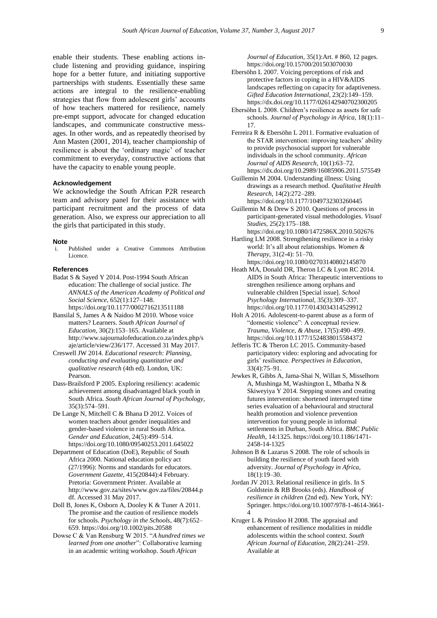enable their students. These enabling actions include listening and providing guidance, inspiring hope for a better future, and initiating supportive partnerships with students. Essentially these same actions are integral to the resilience-enabling strategies that flow from adolescent girls' accounts of how teachers mattered for resilience, namely pre-empt support, advocate for changed education landscapes, and communicate constructive messages. In other words, and as repeatedly theorised by Ann Masten (2001, 2014), teacher championship of resilience is about the 'ordinary magic' of teacher commitment to everyday, constructive actions that have the capacity to enable young people.

## **Acknowledgement**

We acknowledge the South African P2R research team and advisory panel for their assistance with participant recruitment and the process of data generation. Also, we express our appreciation to all the girls that participated in this study.

#### **Note**

i. Published under a Creative Commons Attribution Licence.

### **References**

- Badat S & Sayed Y 2014. Post-1994 South African education: The challenge of social justice. *The ANNALS of the American Academy of Political and Social Science*, 652(1):127–148. <https://doi.org/10.1177/0002716213511188>
- Bansilal S, James A & Naidoo M 2010. Whose voice matters? Learners. *South African Journal of Education*, 30(2):153–165. Available at [http://www.sajournalofeducation.co.za/index.php/s](http://www.sajournalofeducation.co.za/index.php/saje/article/view/236/177) [aje/article/view/236/177.](http://www.sajournalofeducation.co.za/index.php/saje/article/view/236/177) Accessed 31 May 2017.
- Creswell JW 2014. *Educational research: Planning, conducting and evaluating quantitative and qualitative research* (4th ed). London, UK: Pearson.
- Dass-Brailsford P 2005. Exploring resiliency: academic achievement among disadvantaged black youth in South Africa. *South African Journal of Psychology*, 35(3):574–591.
- De Lange N, Mitchell C & Bhana D 2012. Voices of women teachers about gender inequalities and gender-based violence in rural South Africa. *Gender and Education*, 24(5):499–514. <https://doi.org/10.1080/09540253.2011.645022>
- Department of Education (DoE), Republic of South Africa 2000. National education policy act (27/1996): Norms and standards for educators. *Government Gazette*, 415(20844):4 February. Pretoria: Government Printer. Available at [http://www.gov.za/sites/www.gov.za/files/20844.p](http://www.gov.za/sites/www.gov.za/files/20844.pdf) [df.](http://www.gov.za/sites/www.gov.za/files/20844.pdf) Accessed 31 May 2017.
- Doll B, Jones K, Osborn A, Dooley K & Tuner A 2011. The promise and the caution of resilience models for schools. *Psychology in the Schools*, 48(7):652– 659[. https://doi.org/10.1002/pits.20588](https://doi.org/10.1002/pits.20588)
- Dowse C & Van Rensburg W 2015. "*A hundred times we learned from one another*": Collaborative learning in an academic writing workshop. *South African*

*Journal of Education*, 35(1):Art. # 860, 12 pages. <https://doi.org/10.15700/201503070030>

- Ebersöhn L 2007. Voicing perceptions of risk and protective factors in coping in a HIV&AIDS landscapes reflecting on capacity for adaptiveness. *Gifted Education International*, 23(2):149–159. <https://dx.doi.org/10.1177/026142940702300205>
- Ebersöhn L 2008. Children's resilience as assets for safe schools. *Journal of Psychology in Africa*, 18(1):11– 17.
- Ferreira R & Ebersöhn L 2011. Formative evaluation of the STAR intervention: improving teachers' ability to provide psychosocial support for vulnerable individuals in the school community. *African Journal of AIDS Research*, 10(1):63–72. <https://dx.doi.org/10.2989/16085906.2011.575549>
- Guillemin M 2004. Understanding illness: Using drawings as a research method. *Qualitative Health Research*, 14(2):272–289. <https://doi.org/10.1177/1049732303260445>
- Guillemin M & Drew S 2010. Questions of process in participant-generated visual methodologies. *Visual Studies*, 25(2):175–188.
- <https://doi.org/10.1080/1472586X.2010.502676> Hartling LM 2008. Strengthening resilience in a risky world: It's all about relationships. *Women & Therapy*, 31(2-4): 51–70.
- <https://doi.org/10.1080/02703140802145870> Heath MA, Donald DR, Theron LC & Lyon RC 2014.
- AIDS in South Africa: Therapeutic interventions to strengthen resilience among orphans and vulnerable children [Special issue]. *School Psychology International*, 35(3):309–337. <https://doi.org/10.1177/0143034314529912>
- Holt A 2016. Adolescent-to-parent abuse as a form of "domestic violence": A conceptual review. *Trauma, Violence, & Abuse*, 17(5):490–499. <https://doi.org/10.1177/1524838015584372>
- Jefferis TC & Theron LC 2015. Community-based participatory video: exploring and advocating for girls' resilience. *Perspectives in Education*, 33(4):75–91.
- Jewkes R, Gibbs A, Jama-Shai N, Willan S, Misselhorn A, Mushinga M, Washington L, Mbatha N & Skiweyiya Y 2014. Stepping stones and creating futures intervention: shortened interrupted time series evaluation of a behavioural and structural health promotion and violence prevention intervention for young people in informal settlements in Durban, South Africa. *BMC Public Health*, 14:1325[. https://doi.org/10.1186/1471-](https://doi.org/10.1186/1471-2458-14-1325) [2458-14-1325](https://doi.org/10.1186/1471-2458-14-1325)
- Johnson B & Lazarus S 2008. The role of schools in building the resilience of youth faced with adversity. *Journal of Psychology in Africa*, 18(1):19–30.
- Jordan JV 2013. Relational resilience in girls. In S Goldstein & RB Brooks (eds). *Handbook of resilience in children* (2nd ed). New York, NY: Springer[. https://doi.org/10.1007/978-1-4614-3661-](https://doi.org/10.1007/978-1-4614-3661-4)  $\Delta$
- Kruger L & Prinsloo H 2008. The appraisal and enhancement of resilience modalities in middle adolescents within the school context. *South African Journal of Education*, 28(2):241–259. Available at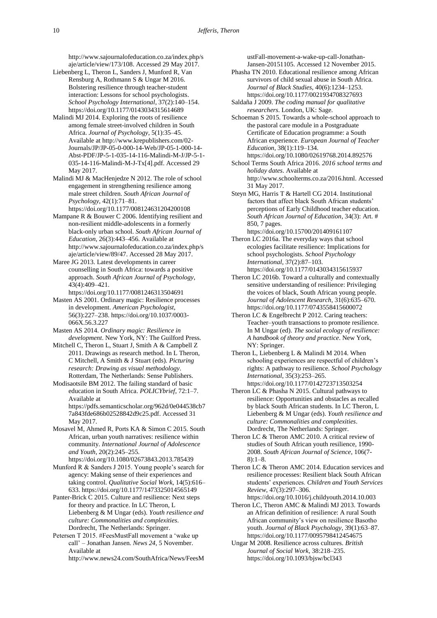[http://www.sajournalofeducation.co.za/index.php/s](http://www.sajournalofeducation.co.za/index.php/saje/article/view/173/108) [aje/article/view/173/108.](http://www.sajournalofeducation.co.za/index.php/saje/article/view/173/108) Accessed 29 May 2017.

- Liebenberg L, Theron L, Sanders J, Munford R, Van Rensburg A, Rothmann S & Ungar M 2016. Bolstering resilience through teacher-student interaction: Lessons for school psychologists. *School Psychology International*, 37(2):140–154. <https://doi.org/10.1177/0143034315614689>
- Malindi MJ 2014. Exploring the roots of resilience among female street-involved children in South Africa. *Journal of Psychology*, 5(1):35–45. Available a[t http://www.krepublishers.com/02-](http://www.krepublishers.com/02-Journals/JP/JP-05-0-000-14-Web/JP-05-1-000-14-Abst-PDF/JP-5-1-035-14-116-Malindi-M-J/JP-5-1-035-14-116-Malindi-M-J-Tx%5b4%5d.pdf) [Journals/JP/JP-05-0-000-14-Web/JP-05-1-000-14-](http://www.krepublishers.com/02-Journals/JP/JP-05-0-000-14-Web/JP-05-1-000-14-Abst-PDF/JP-5-1-035-14-116-Malindi-M-J/JP-5-1-035-14-116-Malindi-M-J-Tx%5b4%5d.pdf) [Abst-PDF/JP-5-1-035-14-116-Malindi-M-J/JP-5-1-](http://www.krepublishers.com/02-Journals/JP/JP-05-0-000-14-Web/JP-05-1-000-14-Abst-PDF/JP-5-1-035-14-116-Malindi-M-J/JP-5-1-035-14-116-Malindi-M-J-Tx%5b4%5d.pdf) [035-14-116-Malindi-M-J-Tx\[4\].pdf.](http://www.krepublishers.com/02-Journals/JP/JP-05-0-000-14-Web/JP-05-1-000-14-Abst-PDF/JP-5-1-035-14-116-Malindi-M-J/JP-5-1-035-14-116-Malindi-M-J-Tx%5b4%5d.pdf) Accessed 29 May 2017.

Malindi MJ & MacHenjedze N 2012. The role of school engagement in strengthening resilience among male street children. *South African Journal of Psychology*, 42(1):71–81. <https://doi.org/10.1177/008124631204200108>

Mampane R & Bouwer C 2006. Identifying resilient and non-resilient middle-adolescents in a formerly black-only urban school. *South African Journal of Education*, 26(3):443–456. Available at [http://www.sajournalofeducation.co.za/index.php/s](http://www.sajournalofeducation.co.za/index.php/saje/article/view/89/47) [aje/article/view/89/47.](http://www.sajournalofeducation.co.za/index.php/saje/article/view/89/47) Accessed 28 May 2017.

Maree JG 2013. Latest developments in career counselling in South Africa: towards a positive approach. *South African Journal of Psychology*,  $43(4):409-421.$ 

<https://doi.org/10.1177/0081246313504691> Masten AS 2001. Ordinary magic: Resilience processes in development. *American Psychologist*,

56(3):227–238[. https://doi.org/10.1037/0003-](https://doi.org/10.1037/0003-066X.56.3.227) [066X.56.3.227](https://doi.org/10.1037/0003-066X.56.3.227)

- Masten AS 2014. *Ordinary magic: Resilience in development*. New York, NY: The Guilford Press.
- Mitchell C, Theron L, Stuart J, Smith A & Campbell Z 2011. Drawings as research method. In L Theron, C Mitchell, A Smith & J Stuart (eds). *Picturing research: Drawing as visual methodology*. Rotterdam, The Netherlands: Sense Publishers.
- Modisaotsile BM 2012. The failing standard of basic education in South Africa. *POLICYbrief*, 72:1–7. Available at [https://pdfs.semanticscholar.org/962d/0e044538cb7](https://pdfs.semanticscholar.org/962d/0e044538cb77a843fde686b02528842d9c25.pdf) [7a843fde686b02528842d9c25.pdf.](https://pdfs.semanticscholar.org/962d/0e044538cb77a843fde686b02528842d9c25.pdf) Accessed 31

May 2017. Mosavel M, Ahmed R, Ports KA & Simon C 2015. South African, urban youth narratives: resilience within community. *International Journal of Adolescence and Youth*, 20(2):245–255.

<https://doi.org/10.1080/02673843.2013.785439> Munford R & Sanders J 2015. Young people's search for agency: Making sense of their experiences and taking control. *Qualitative Social Work*, 14(5):616– 633[. https://doi.org/10.1177/1473325014565149](https://doi.org/10.1177/1473325014565149)

Panter-Brick C 2015. Culture and resilience: Next steps for theory and practice. In LC Theron, L Liebenberg & M Ungar (eds). *Youth resilience and culture: Commonalities and complexities*. Dordrecht, The Netherlands: Springer.

Petersen T 2015. #FeesMustFall movement a 'wake up call' – Jonathan Jansen. *News 24*, 5 November. Available at

[http://www.news24.com/SouthAfrica/News/FeesM](http://www.news24.com/SouthAfrica/News/FeesMustFall-movement-a-wake-up-call-Jonathan-Jansen-20151105)

[ustFall-movement-a-wake-up-call-Jonathan-](http://www.news24.com/SouthAfrica/News/FeesMustFall-movement-a-wake-up-call-Jonathan-Jansen-20151105)[Jansen-20151105.](http://www.news24.com/SouthAfrica/News/FeesMustFall-movement-a-wake-up-call-Jonathan-Jansen-20151105) Accessed 12 November 2015.

- Phasha TN 2010. Educational resilience among African survivors of child sexual abuse in South Africa. *Journal of Black Studies*, 40(6):1234–1253. <https://doi.org/10.1177/0021934708327693>
- Saldaña J 2009. *The coding manual for qualitative researchers*. London, UK: Sage.
- Schoeman S 2015. Towards a whole-school approach to the pastoral care module in a Postgraduate Certificate of Education programme: a South African experience. *European Journal of Teacher Education*, 38(1):119–134.
- <https://doi.org/10.1080/02619768.2014.892576> School Terms South Africa 2016. *2016 school terms and holiday dates*. Available at [http://www.schoolterms.co.za/2016.html.](http://www.schoolterms.co.za/2016.html) Accessed
- 31 May 2017. Steyn MG, Harris T & Hartell CG 2014. Institutional factors that affect black South African students' perceptions of Early Childhood teacher education. *South African Journal of Education*, 34(3): Art. # 850, 7 pages.

<https://doi.org/10.15700/201409161107> Theron LC 2016a. The everyday ways that school ecologies facilitate resilience: Implications for school psychologists. *School Psychology International*, 37(2):87–103.

- <https://doi.org/10.1177/0143034315615937> Theron LC 2016b. Toward a culturally and contextually sensitive understanding of resilience: Privileging the voices of black, South African young people. *Journal of Adolescent Research*, 31(6):635–670. <https://doi.org/10.1177/0743558415600072>
- Theron LC & Engelbrecht P 2012. Caring teachers: Teacher–youth transactions to promote resilience. In M Ungar (ed). *The social ecology of resilience: A handbook of theory and practice*. New York, NY: Springer.
- Theron L, Liebenberg L & Malindi M 2014. When schooling experiences are respectful of children's rights: A pathway to resilience. *School Psychology International*, 35(3):253–265. <https://doi.org/10.1177/0142723713503254>
- Theron LC & Phasha N 2015. Cultural pathways to resilience: Opportunities and obstacles as recalled by black South African students. In LC Theron, L Liebenberg & M Ungar (eds). *Youth resilience and culture: Commonalities and complexities*. Dordrecht, The Netherlands: Springer.
- Theron LC & Theron AMC 2010. A critical review of studies of South African youth resilience, 1990- 2008. *South African Journal of Science*, 106(7- 8):1–8.
- Theron LC & Theron AMC 2014. Education services and resilience processes: Resilient black South African students' experiences. *Children and Youth Services Review*, 47(3):297–306.

<https://doi.org/10.1016/j.childyouth.2014.10.003> Theron LC, Theron AMC & Malindi MJ 2013. Towards an African definition of resilience: A rural South African community's view on resilience Basotho youth. *Journal of Black Psychology*, 39(1):63–87. <https://doi.org/10.1177/0095798412454675>

Ungar M 2008. Resilience across cultures. *British Journal of Social Work*, 38:218–235. <https://doi.org/10.1093/bjsw/bcl343>